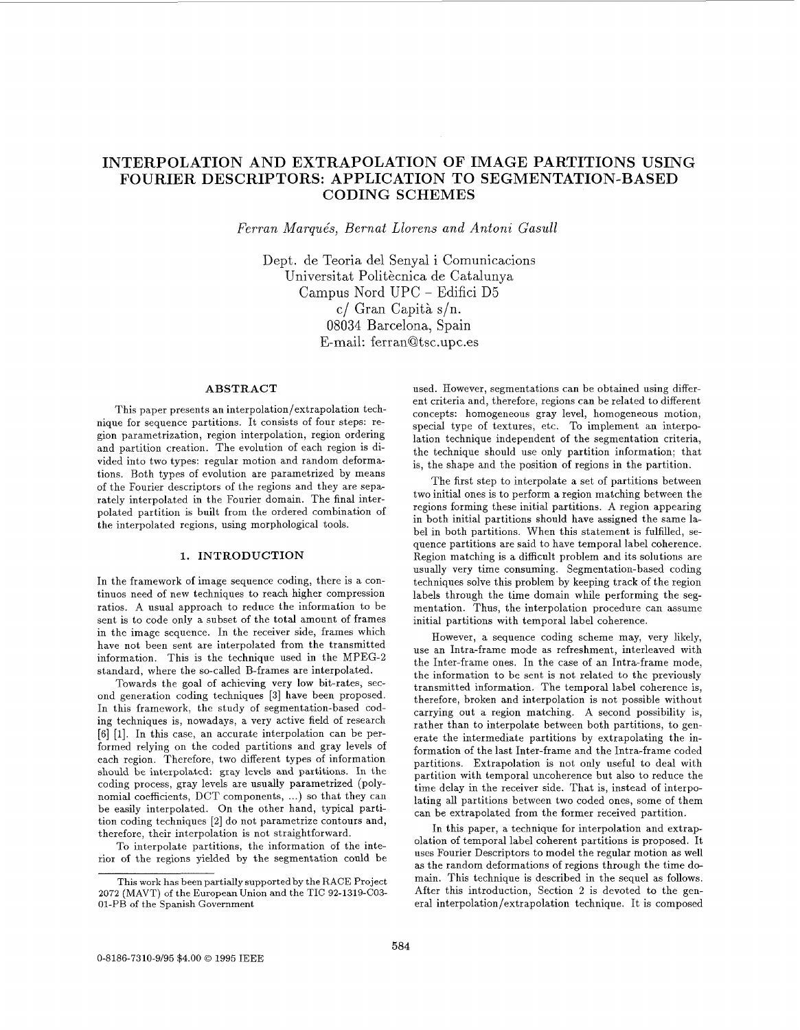# **INTERPOLATION AND EXTRAPOLATION OF IMAGE PARTITIONS USING CODING SCHEMES FOURIER DESCRIPTORS: APPLICATION TO SEGMENTATION-BASED**

*Ferran Marque's, Bernat Llorens and Antoni Gasull* 

Dept. de Teoria del Senyal i Comunicacions Universitat Politècnica de Catalunya Campus Nord UPC - Edifici D5 c/ Gran Capit& s/n. 08034 Barcelona, Spain E-mail: ferran@tsc.upc.es

# **ABSTRACT**

This paper presents an interpolation/extrapolation technique for sequence partitions. It consists of four steps: region parametrization, region interpolation, region ordering and partition creation. The evolution of each region is divided into two types: regular motion and random deformations. Both types of evolution are parametrized by means of the Fourier descriptors of the regions and they are separately interpolated in the Fourier domain. The final interpolated partition is built from the ordered combination of the interpolated regions, using morphological tools.

## **1. INTRODUCTION**

In the framework of image sequence coding, there is a continuos need of new techniques to reach higher compression ratios. A usual approach to reduce the information to be sent is to code only a subset of the total amount of frames in the image sequence. In the receiver side, frames which have not been sent are interpolated from the transmitted information. This is the technique used in the MPEG-2 standard, where the so-called B-frames are interpolated.

Towards the goal of achieving very low bit-rates, second generation coding techniques **[3]** have been proposed. In this framework, the study of segmentation-based coding techniques is, nowadays, a very active field of research [6] [1]. In this case, an accurate interpolation can be performed relying on the coded partitions and gray levels of each region. Therefore, two different types of information should be interpolated: gray levels and partitions. In the coding process, gray levels are usually parametrized (polynomial coefficients, DCT components, ...) so that they can be easily interpolated. On the other hand, typical partition coding techniques *[2]* do not parametrize contours and, therefore, their interpolation is not straightforward.

To interpolate partitions, the information of the interior of the regions yielded by the segmentation could be used. However, segmentations can be obtained using different criteria and, therefore, regions can be related to different concepts: homogeneous gray level, homogeneous motion, special type of textures, etc. To implement an interpolation technique independent of the segmentation criteria, the technique should use only partition information; that is, the shape and the position of regions in the partition.

The first step to interpolate a set of partitions between two initial ones is to perform a region matching between the regions forming these initial partitions. A region appearing in both initial partitions should have assigned the same label in both partitions. When this statement is fulfilled, sequence partitions are said to have temporal label coherence. Region matching is a difficult problem and its solutions are usually very time consuming. Segmentation-based coding techniques solve this problem by keeping track of the region labels through the time domain while performing the segmentation. Thus, the interpolation procedure can assume initial partitions with temporal label coherence.

However, a sequence coding scheme may, very likely, use an Intra-frame mode as refreshment, interleaved with the Inter-frame ones. In the case of an Intra-frame mode, the information to be sent is not related to the previously transmitted information. The temporal label coherence is, therefore, broken and interpolation is not possible without carrying out a region matching. A second possibility is, rather than to interpolate between both partitions, to generate the intermediate partitions by extrapolating the information of the last Inter-frame and the Intra-frame coded partitions. Extrapolation is not only useful to deal with partition with temporal uncoherence but also to reduce the time delay in the receiver side. That is, instead of interpolating all partitions between two coded ones, some of them can be extrapolated from the former received partition.

In this paper, a technique for interpolation and extrapolation of temporal label coherent partitions is proposed. It uses Fourier Descriptors to model the regular motion as well as the random deformations of regions through the time domain. This technique is described in the sequel as follows. After this introduction, Section 2 is devoted to the general interpolation/extrapolation technique. It is composed

This work has been partially supported by the RACE Project **2072** (MAVT) of the European Union and the TIC **92-1319-CO3-**  01-PB of the Spanish Government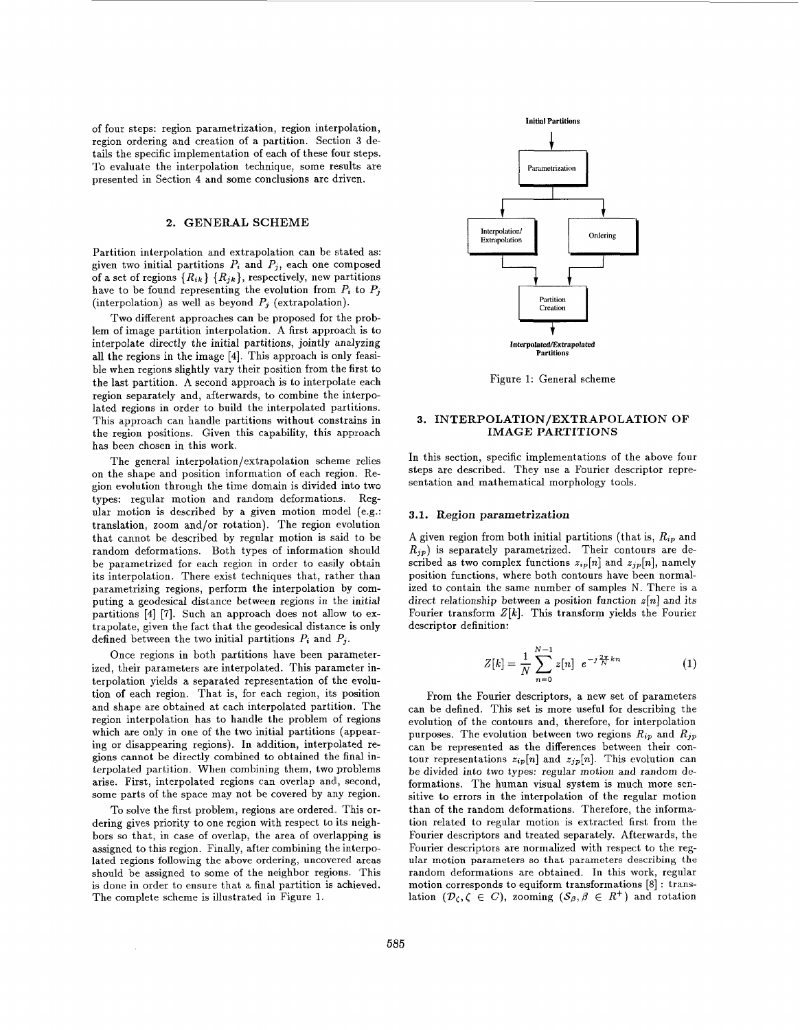of four steps: region parametrization, region interpolation, region ordering and creation of a partition. Section **3** details the specific implementation of each of these four steps. To evaluate the interpolation technique, some results are presented in Section **4** and some conclusions are driven.

## 2. GENERAL SCHEME

Partition interpolation and extrapolation can be stated as: given two initial partitions  $P_i$  and  $P_j$ , each one composed of a set of regions  ${R_{ik}} {R_{jk}}$ , respectively, new partitions have to be found representing the evolution from  $P_i$  to  $P_j$ (interpolation) as well as beyond  $P_i$  (extrapolation).

Two different approaches can be proposed for the problem of image partition interpolation. A first approach is to interpolate directly the initial partitions, jointly analyzing all the regions in the image [4]. This approach is only feasible when regions slightly vary their position from the first to the last partition. A second approach is to interpolate each region separately and, afterwards, to combine the interpolated regions in order to build the interpolated partitions. This approach can handle partitions without constrains in the region positions. Given this capability, this approach has been chosen in this work.

The general interpolation/extrapolation scheme relies on the shape and position information of each region. Region evolution through the time domain is divided into two types: regular motion and random deformations. Regular motion is described by a given motion model (e.g.: translation, zoom and/or rotation). The region evolution that cannot be described by regular motion is said to be random deformations. Both types of information should be parametrized for each region in order to easily obtain its interpolation. There exist techniques that, rather than parametrizing regions, perform the interpolation by computing a geodesical distance between regions in the initial partitions [4] [7]. Such an approach does not allow to extrapolate, given the fact that the geodesical distance is only defined between the two initial partitions  $P_i$  and  $P_j$ .

Once regions in both partitions have been parameterized, their parameters are interpolated. This parameter interpolation yields a separated representation of the evolution of each region. That is, for each region, its position and shape are obtained at each interpolated partition. The region interpolation has to handle the problem of regions which are only in one of the two initial partitions (appearing or disappearing regions). In addition, interpolated regions cannot be directly combined to obtained the final interpolated partition. When combining them, two problems arise. First, interpolated regions can overlap and, second, some parts of the space may not be covered by any region.

To solve the first problem, regions are ordered. This ordering gives priority to one region with respect to its neighbors so that, in case of overlap, the area of overlapping is assigned to this region. Finally, after combining the interpolated regions following the above ordering, uncovered areas should be assigned to some of the neighbor regions. This is done in order to ensure that a final partition is achieved. The complete scheme is illustrated in Figure **1.** 



Figure 1: General scheme

## **3. IN'TERPOLATION/EXTRAPOLATION** OF IMAGE **PARTITIONS**

In this section, specific implementations of the above four steps are described. They use a Fourier descriptor representation and mathematical morphology tools.

#### **3.1.** Region *parametrization*

A given region from both initial partitions (that is,  $R_{ip}$  and *RJp)* is separately parametrized. Their contours are described as two complex functions  $z_{ip}[n]$  and  $z_{jp}[n]$ , namely position functions, where both contours have been normalized to contain the same number of samples N. There is a direct relationship between a position function *z[n]* and its Fourier transform  $Z[k]$ . This transform yields the Fourier descriptor definition:

$$
Z[k] = \frac{1}{N} \sum_{n=0}^{N-1} z[n] e^{-j\frac{2\pi}{N}kn}
$$
 (1)

From the Fourier descriptors, a new set of parameters can be defined. This set is more useful for describing the evolution of the contours and, therefore, for interpolation purposes. The evolution between two regions  $R_{ip}$  and  $R_{jp}$ can be represented as the differences between their contour representations  $z_{ip}[n]$  and  $z_{jp}[n]$ . This evolution can be divided into two types: regular motion and random deformations. The human visual system is much more sensitive to errors in the interpolation of the regular motion than of the random deformations. Therefore, the information related to regular motion is extracted first from the Fourier descriptors and treated separately. Afterwards, the Fourier descriptors are normalized with respect to the regular motion parameters *so* that parameters **describing the**  random deformations are obtained. In this work, regular motion corresponds to equiform transformations [8] : translation  $(\mathcal{D}_{\zeta}, \zeta \in C)$ , zooming  $(\mathcal{S}_{\beta}, \beta \in R^+)$  and rotation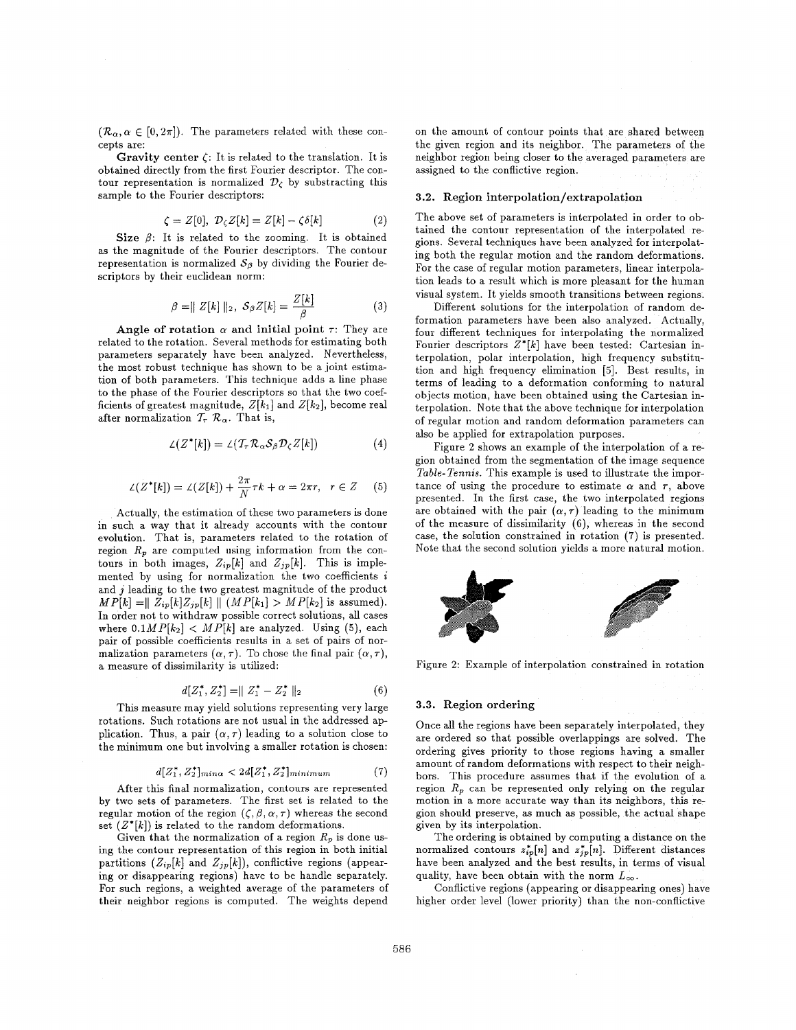$(\mathcal{R}_{\alpha}, \alpha \in [0, 2\pi])$ . The parameters related with these concepts are:

Gravity center  $\zeta$ : It is related to the translation. It is obtained directly from the first Fourier descriptor. The contour representation is normalized  $\mathcal{D}_c$  by substracting this sample to the Fourier descriptors:

$$
\zeta = Z[0], \ \mathcal{D}_{\zeta}Z[k] = Z[k] - \zeta \delta[k] \tag{2}
$$

Size  $\beta$ : It is related to the zooming. It is obtained as the magnitude of the Fourier descriptors. The contour representation is normalized  $S_\beta$  by dividing the Fourier descriptors by their euclidean norm:

$$
\beta = || Z[k] ||_2, S_{\beta}Z[k] = \frac{Z[k]}{\beta}
$$
 (3)

Angle of rotation  $\alpha$  and initial point  $\tau$ : They are related to the rotation. Several methods for estimating both parameters separately have been analyzed. Nevertheless, the most robust technique has shown to be a joint estimation of both parameters. This technique adds a line phase to the phase of the Fourier descriptors so that the two coefficients of greatest magnitude,  $Z[k_1]$  and  $Z[k_2]$ , become real after normalization  $\mathcal{T}_{\tau}$   $\mathcal{R}_{\alpha}$ . That is,

$$
\mathcal{L}(Z^*[k]) = \mathcal{L}(\mathcal{T}_{\tau} \mathcal{R}_{\alpha} \mathcal{S}_{\beta} \mathcal{D}_{\zeta} Z[k]) \tag{4}
$$

$$
\angle(Z^*[k]) = \angle(Z[k]) + \frac{2\pi}{N}\tau k + \alpha = 2\pi r, \quad r \in Z \quad (5)
$$

Actually, the estimation of these two parameters is done in such a way that it already accounts with the contour evolution. That is, parameters related to the rotation of region  $R_p$  are computed using information from the contours in both images,  $Z_{ip}[k]$  and  $Z_{jp}[k]$ . This is implemented by using for normalization the two coefficients  $i$ and *j* leading to the two greatest magnitude of the product  $MP[k] = \| Z_{ip}[k] Z_{jp}[k] \| (MP[k_1] > MP[k_2] \text{ is assumed}).$ In order not to withdraw possible correct solutions, all cases where  $0.1MP[k_2] < MP[k]$  are analyzed. Using (5), each pair of possible coefficients results in a set of pairs of normalization parameters  $(\alpha, \tau)$ . To chose the final pair  $(\alpha, \tau)$ , a measure of dissimilarity is utilized:

$$
d[Z_1^*, Z_2^*] = ||Z_1^* - Z_2^*||_2 \tag{6}
$$

This measure may yield solutions representing very large rotations. Such rotations are not usual in the addressed application. Thus, a pair  $(\alpha, \tau)$  leading to a solution close to the minimum one but involving a smaller rotation is chosen:

$$
d[Z_1^*, Z_2^*]_{min\alpha} < 2d[Z_1^*, Z_2^*]_{minimum} \tag{7}
$$

After this final normalization, contours are represented by two sets of parameters. The first set is related to the regular motion of the region  $(\zeta,\beta,\alpha,\tau)$  whereas the second set  $(Z^*[k])$  is related to the random deformations.

Given that the normalization of a region  $R_p$  is done using the contour representation of this region in both initial partitions  $(Z_{ip}[k]$  and  $Z_{jp}[k])$ , conflictive regions (appearing or disappearing regions) have to be handle separately. For such regions, a weighted average of the parameters of their neighbor regions is computed. The weights depend on the amount of contour points that are shared between the given region and its neighbor. The parameters of the neighbor region being closer to the averaged parameters are assigned to the conflictive region.

### **3.2.** Region **interpolation/extrapolation**

The above set of parameters is interpolated in order to obtained the contour representation of the interpolated regions. Several techniques have been analyzed for interpolating both the regular motion and the random deformations. For the case of regular motion parameters, linear interpolation leads to a result which is more pleasant for the human visual system. It yields smooth transitions between regions.

Different solutions for the interpolation of random deformation parameters have been also analyzed. Actually, four different techniques for interpolating the normalized Fourier descriptors *Z\*[k]* have been tested: Cartesian interpolation, polar interpolation, high frequency substitution and high frequency elimination [5]. Best results, in terms of leading to a deformation conforming to natural objects motion, have been obtained using the Cartesian interpolation. Note that the above technique for interpolation of regular motion and random deformation parameters can also be applied for extrapolation purposes.

Figure 2 shows an example of the interpolation of a region obtained from the segmentation of the image sequence *Table-Tennis.* This example is used to illustrate the importance of using the procedure to estimate  $\alpha$  and  $\tau$ , above presented. In the first case, the two interpolated regions are obtained with the pair  $(\alpha, \tau)$  leading to the minimum of the measure of dissimilarity **(6),** whereas in the second case, the solution constrained in rotation **(7)** is presented. Note that the second solution yields a more natural motion.



Figure 2: Example of interpolation constrained in rotation

#### **3.3.** Region ordering

Once all the regions have been separately interpolated, they are ordered so that possible overlappings are solved. The ordering gives priority to those regions having a smaller amount of random deformations with respect to their neighbors. This procedure assumes that if the evolution of a region  $R_p$  can be represented only relying on the regular motion in a more accurate way than its neighbors, this region should preserve, as much as possible, the actual shape given by its interpolation.

The ordering is obtained by computing a distance on the normalized contours  $z_{ip}^*[n]$  and  $z_{ip}^*[n]$ . Different distances have been analyzed and the best results, in terms of visual quality, have been obtain with the norm  $L_{\infty}$ .

higher order level (lower priority) than the non-conflictive Conflictive regions (appearing or disappearing ones) have